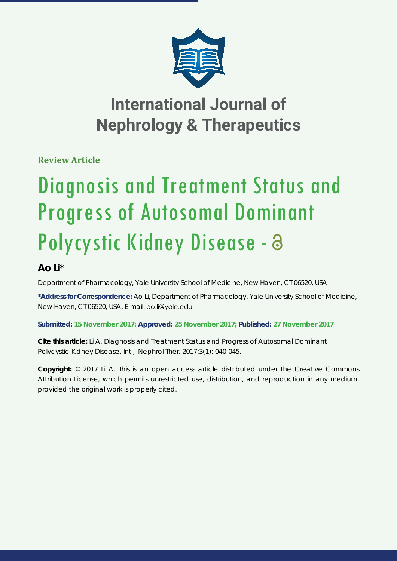

# **International Journal of Nephrology & Therapeutics**

**Review Article**

# Diagnosis and Treatment Status and Progress of Autosomal Dominant Polycystic Kidney Disease - a

# **Ao Li\***

*Department of Pharmacology, Yale University School of Medicine, New Haven, CT 06520, USA*

**\*Address for Correspondence:** Ao Li, Department of Pharmacology, Yale University School of Medicine, New Haven, CT 06520, USA, E-mail: go.li@ygle.edu

**Submitted: 15 November 2017; Approved: 25 November 2017; Published: 27 November 2017**

**Cite this article:** Li A. *Diagnosis and Treatment Status and Progress of Autosomal Dominant Polycystic Kidney Disease*. Int J Nephrol Ther. 2017;3(1): 040-045.

**Copyright:** © 2017 Li A. This is an open access article distributed under the Creative Commons Attribution License, which permits unrestricted use, distribution, and reproduction in any medium, provided the original work is properly cited.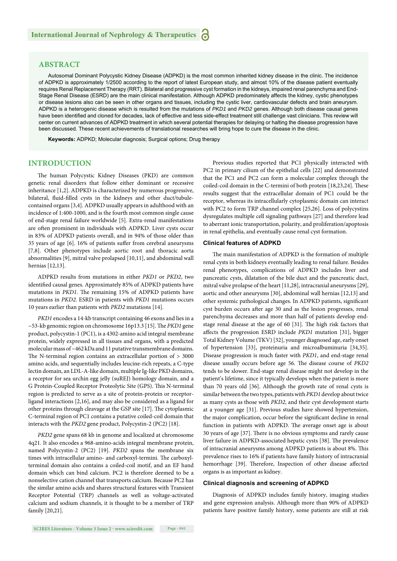### **ABSTRACT**

Autosomal Dominant Polycystic Kidney Disease (ADPKD) is the most common inherited kidney disease in the clinic. The incidence of ADPKD is approximately 1/2500 according to the report of latest European study, and almost 10% of the disease patient eventually requires Renal Replacement Therapy (RRT). Bilateral and progressive cyst formation in the kidneys, impaired renal parenchyma and End-Stage Renal Disease (ESRD) are the main clinical manifestation. Although ADPKD predominately affects the kidney, cystic phenotypes or disease lesions also can be seen in other organs and tissues, including the cystic liver, cardiovascular defects and brain aneurysm. ADPKD is a heterogenic disease which is resulted from the mutations of *PKD1* and *PKD2* genes. Although both disease causal genes have been identified and cloned for decades, lack of effective and less side-effect treatment still challenge vast clinicians. This review will center on current advances of ADPKD treatment in which several potential therapies for delaying or halting the disease progression have been discussed. These recent achievements of translational researches will bring hope to cure the disease in the clinic.

**Keywords:** ADPKD; Molecular diagnosis; Surgical options; Drug therapy

## **INTRODUCTION**

The human Polycystic Kidney Diseases (PKD) are common genetic renal disorders that follow either dominant or recessive inheritance [1,2]. ADPKD is characterized by numerous progressive, bilateral, fluid-filled cysts in the kidneys and other duct/tubulecontained organs [3,4]. ADPKD usually appears in adulthood with an incidence of 1:400-1000, and is the fourth most common single cause of end-stage renal failure worldwide [5]. Extra-renal manifestations are often prominent in individuals with ADPKD. Liver cysts occur in 83% of ADPKD patients overall, and in 94% of those older than 35 years of age [6]. 16% of patients suffer from cerebral aneurysms [7,8]. Other phenotypes include aortic root and thoracic aorta abnormalities [9], mitral valve prolapsed [10,11], and abdominal wall hernias [12,13].

ADPKD results from mutations in either *PKD1* or *PKD2*, two identified causal genes. Approximately 85% of ADPKD patients have mutations in *PKD1*. The remaining 15% of ADPKD patients have mutations in *PKD2*. ESRD in patients with *PKD1* mutations occurs 10 years earlier than patients with *PKD2* mutations [14].

*PKD1* encodes a 14-kb transcript containing 46 exons and lies in a ~53-kb genomic region on chromosome 16p13.3 [15]. The *PKD1* gene product, polycystin-1 (PC1), is a 4302-amino acid integral membrane protein, widely expressed in all tissues and organs, with a predicted molecular mass of ~462 kDa and 11 putative transmembrane domains. The N-terminal region contains an extracellular portion of  $> 3000$ amino acids, and sequentially includes leucine-rich repeats, a C-type lectin domain, an LDL-A-like domain, multiple Ig-like PKD domains, a receptor for sea urchin egg jelly (suREJ) homology domain, and a G Protein-Coupled Receptor Proteolytic Site (GPS). This N-terminal region is predicted to serve as a site of protein-protein or receptorligand interactions [2,16], and may also be considered as a ligand for other proteins through cleavage at the GSP site [17]. The cytoplasmic C-terminal region of PC1 contains a putative coiled-coil domain that interacts with the *PKD2* gene product, Polycystin-2 (PC2) [18].

*PKD2* gene spans 68 kb in genome and localized at chromosome 4q21. It also encodes a 968-amino-acids integral membrane protein, named Polycystin-2 (PC2) [19]. *PKD2* spans the membrane six times with intracellular amino- and carboxyl-termini. The carboxylterminal domain also contains a coiled-coil motif, and an EF hand domain which can bind calcium. PC2 is therefore deemed to be a nonselective cation channel that transports calcium. Because PC2 has the similar amino acids and shares structural features with Transient Receptor Potential (TRP) channels as well as voltage-activated calcium and sodium channels, it is thought to be a member of TRP family [20,21].

Previous studies reported that PC1 physically interacted with PC2 in primary cilium of the epithelial cells [22] and demonstrated that the PC1 and PC2 can form a molecular complex through the coiled-coil domain in the C-termini of both protein [18,23,24]. These results suggest that the extracellular domain of PC1 could be the receptor, whereas its intracellularly cytoplasmic domain can interact with PC2 to form TRP channel complex [25,26]. Loss of polycystins dysregulates multiple cell signaling pathways [27] and therefore lead to aberrant ionic transportation, polarity, and proliferation/apoptosis in renal epithelia, and eventually cause renal cyst formation.

#### **Clinical features of ADPKD**

The main manifestation of ADPKD is the formation of multiple renal cysts in both kidneys eventually leading to renal failure. Besides renal phenotypes, complications of ADPKD includes liver and pancreatic cysts, dilatation of the bile duct and the pancreatic duct, mitral valve prolapse of the heart [11,28], intracranial aneurysms [29], aortic and other aneurysms [30], abdominal wall hernias [12,13] and other systemic pathological changes. In ADPKD patients, significant cyst burden occurs after age 30 and as the lesion progresses, renal parenchyma decreases and more than half of patients develop endstage renal disease at the age of 60 [31]. The high risk factors that affects the progression ESRD include *PKD1* mutation [31], bigger Total Kidney Volume (TKV) [32], younger diagnosed age, early onset of hypertension [33], proteinuria and microalbuminuria [34,35]. Disease progression is much faster with *PKD1*, and end-stage renal disease usually occurs before age 56. The disease course of *PKD2* tends to be slower. End-stage renal disease might not develop in the patient's lifetime, since it typically develops when the patient is more than 70 years old [36]. Although the growth rate of renal cysts is similar between the two types, patients with *PKD1* develop about twice as many cysts as those with *PKD2*, and their cyst development starts at a younger age [31]. Previous studies have showed hypertension, the major complication, occur before the significant decline in renal function in patients with ADPKD. The average onset age is about 30 years of age [37]. There is no obvious symptoms and rarely cause liver failure in ADPKD-associated hepatic cysts [38]. The prevalence of intracranial aneurysms among ADPKD patients is about 8%. This prevalence rises to 16% if patients have family history of intracranial hemorrhage [39]. Therefore, Inspection of other disease affected organs is as important as kidney.

#### **Clinical diagnosis and screening of ADPKD**

Diagnosis of ADPKD includes family history, imaging studies and gene expression analysis. Although more than 90% of ADPKD patients have positive family history, some patients are still at risk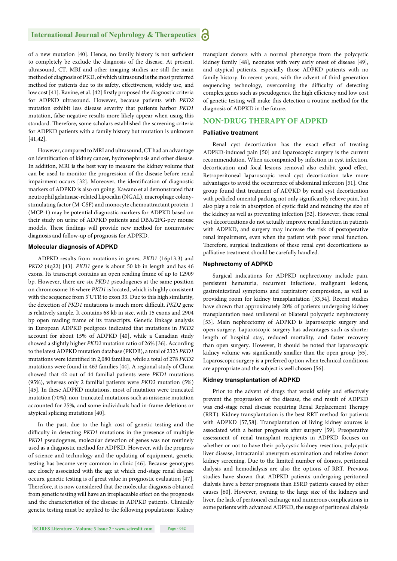#### **International Journal of Nephrology & Therapeutics** Ы

of a new mutation [40]. Hence, no family history is not sufficient to completely be exclude the diagnosis of the disease. At present, ultrasound, CT, MRI and other imaging studies are still the main method of diagnosis of PKD, of which ultrasound is the most preferred method for patients due to its safety, effectiveness, widely use, and low cost [41]. Ravine, et al. [42] firstly proposed the diagnostic criteria for ADPKD ultrasound. However, because patients with *PKD2* mutation exhibit less disease severity that patients harbor *PKD1*  mutation, false-negative results more likely appear when using this standard. Therefore, some scholars established the screening criteria for ADPKD patients with a family history but mutation is unknown [41,42].

However, compared to MRI and ultrasound, CT had an advantage on identification of kidney cancer, hydronephrosis and other disease. In addition, MRI is the best way to measure the kidney volume that can be used to monitor the progression of the disease before renal impairment occurs [32]. Moreover, the identification of diagnostic markers of ADPKD is also on going. Kawano et al demonstrated that neutrophil gelatinase-related Lipocalin (NGAL), macrophage colonystimulating factor (M-CSF) and monocyte chemoattractant protein-1 (MCP-1) may be potential diagnostic markers for ADPKD based on their study on urine of ADPKD patients and DBA/2FG-pcy mouse models. These findings will provide new method for noninvasive diagnosis and follow-up of prognosis for ADPKD.

#### **Molecular diagnosis of ADPKD**

ADPKD results from mutations in genes, *PKD1* (16p13.3) and *PKD2* (4q22) [43]. *PKD1* gene is about 50 kb in length and has 46 exons. Its transcript contains an open reading frame of up to 12909 bp. However, there are six *PKD1* pseudogenes at the same position on chromosome 16 where *PKD1* is located, which is highly consistent with the sequence from 5'UTR to exon 33. Due to this high similarity, the detection of *PKD1* mutations is much more difficult. *PKD2* gene is relatively simple. It contains 68 kb in size, with 15 exons and 2904 bp open reading frame of its transcripts. Genetic linkage analysis in European ADPKD pedigrees indicated that mutations in *PKD2* account for about 15% of ADPKD [40], while a Canadian study showed a slightly higher *PKD2* mutation ratio of 26% [36]. According to the latest ADPKD mutation database (PKDB), a total of 2323 *PKD1* mutations were identified in 2,080 families, while a total of 278 *PKD2* mutations were found in 463 families [44]. A regional study of China showed that 42 out of 44 familial patients were *PKD1* mutations (95%), whereas only 2 familial patients were *PKD2* mutation (5%) [45]. In these ADPKD mutations, most of mutation were truncated mutation (70%), non-truncated mutations such as missense mutation accounted for 25%, and some individuals had in-frame deletions or atypical splicing mutations [40].

In the past, due to the high cost of genetic testing and the difficulty in detecting *PKD1* mutations in the presence of multiple *PKD1* pseudogenes, molecular detection of genes was not routinely used as a diagnostic method for ADPKD. However, with the progress of science and technology and the updating of equipment, genetic testing has become very common in clinic [46]. Because genotypes are closely associated with the age at which end-stage renal disease occurs, genetic testing is of great value in prognostic evaluation [47]. Therefore, it is now considered that the molecular diagnosis obtained from genetic testing will have an irreplaceable effect on the prognosis and the characteristics of the disease in ADPKD patients. Clinically genetic testing must be applied to the following populations: Kidney transplant donors with a normal phenotype from the polycystic kidney family [48], neonates with very early onset of disease [49], and atypical patients, especially those ADPKD patients with no family history. In recent years, with the advent of third-generation sequencing technology, overcoming the difficulty of detecting complex genes such as pseudogenes, the high efficiency and low cost of genetic testing will make this detection a routine method for the diagnosis of ADPKD in the future.

# **NON-DRUG THERAPY OF ADPKD**

#### **Palliative treatment**

Renal cyst decortication has the exact effect of treating ADPKD-induced pain [50] and laparoscopic surgery is the current recommendation. When accompanied by infection in cyst infection, decortication and focal lesions removal also exhibit good effect. Retroperitoneal laparoscopic renal cyst decortication take more advantages to avoid the occurrence of abdominal infection [51]. One group found that treatment of ADPKD by renal cyst decortication with pedicled omental packing not only significantly relieve pain, but also play a role in absorption of cystic fluid and reducing the size of the kidney as well as preventing infection [52]. However, these renal cyst decortications do not actually improve renal function in patients with ADPKD, and surgery may increase the risk of postoperative renal impairment, even when the patient with poor renal function. Therefore, surgical indications of these renal cyst decortications as palliative treatment should be carefully handled.

#### **Nephrectomy of ADPKD**

Surgical indications for ADPKD nephrectomy include pain, persistent hematuria, recurrent infections, malignant lesions, gastrointestinal symptoms and respiratory compression, as well as providing room for kidney transplantation [53,54]. Recent studies have shown that approximately 20% of patients undergoing kidney transplantation need unilateral or bilateral polycystic nephrectomy [53]. Main nephrectomy of ADPKD is laparoscopic surgery and open surgery. Laparoscopic surgery has advantages such as shorter length of hospital stay, reduced mortality, and faster recovery than open surgery. However, it should be noted that laparoscopic kidney volume was significantly smaller than the open group [55]. Laparoscopic surgery is a preferred option when technical conditions are appropriate and the subject is well chosen [56].

#### **Kidney transplantation of ADPKD**

Prior to the advent of drugs that would safely and effectively prevent the progression of the disease, the end result of ADPKD was end-stage renal disease requiring Renal Replacement Therapy (RRT). Kidney transplantation is the best RRT method for patients with ADPKD [57,58]. Transplantation of living kidney sources is associated with a better prognosis after surgery [59]. Preoperative assessment of renal transplant recipients in ADPKD focuses on whether or not to have their polycystic kidney resection, polycystic liver disease, intracranial aneurysm examination and relative donor kidney screening. Due to the limited number of donors, peritoneal dialysis and hemodialysis are also the options of RRT. Previous studies have shown that ADPKD patients undergoing peritoneal dialysis have a better prognosis than ESRD patients caused by other causes [60]. However, owning to the large size of the kidneys and liver, the lack of peritoneal exchange and numerous complications in some patients with advanced ADPKD, the usage of peritoneal dialysis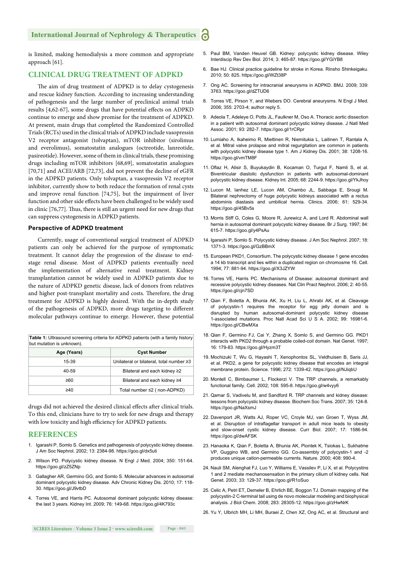#### **International Journal of Nephrology & Therapeutics** ്

is limited, making hemodialysis a more common and appropriate approach [61].

#### **CLINICAL DRUG TREATMENT OF ADPKD**

The aim of drug treatment of ADPKD is to delay cystogenesis and rescue kidney function. According to increasing understanding of pathogenesis and the large number of preclinical animal trials results [4,62-67], some drugs that have potential effects on ADPKD continue to emerge and show promise for the treatment of ADPKD. At present, main drugs that completed the Randomized Controlled Trials (RCTs) used in the clinical trials of ADPKD include vasopressin V2 receptor antagonist (tolvaptan), mTOR inhibitor (sirolimus and everolimus), somatostatin analogues (octreotide, lanreotide, pasireotide). However, some of them in clinical trials, these promising drugs including mTOR inhibitors [68,69], somatostatin analogues [70,71] and ACEI/ARB [72,73], did not prevent the decline of eGFR in the ADPKD patients. Only tolvaptan, a vasopressin V2 receptor inhibitor, currently show to both reduce the formation of renal cysts and improve renal function [74,75], but the impairment of liver function and other side effects have been challenged to be widely used in clinic  $[76,77]$ . Thus, there is still an urgent need for new drugs that can suppress cystogenesis in ADPKD patients.

#### **Perspective of ADPKD treatment**

Currently, usage of conventional surgical treatment of ADPKD patients can only be achieved for the purpose of symptomatic treatment. It cannot delay the progression of the disease to endstage renal disease. Most of ADPKD patients eventually need the implementation of alternative renal treatment. Kidney transplantation cannot be widely used in ADPKD patients due to the nature of ADPKD genetic disease, lack of donors from relatives and higher post-transplant mortality and costs. Therefore, the drug treatment for ADPKD is highly desired. With the in-depth study of the pathogenesis of ADPKD, more drugs targeting to different molecular pathways continue to emerge. However, these potential

| <b>Table 1:</b> Ultrasound screening criteria for ADPKD patients (with a family history<br>but mutation is unknown). |                                          |
|----------------------------------------------------------------------------------------------------------------------|------------------------------------------|
| Age (Years)                                                                                                          | <b>Cyst Number</b>                       |
| 15-39                                                                                                                | Unilateral or bilateral, total number ≥3 |
| 40-59                                                                                                                | Bilateral and each kidney ≥2             |
| ≥60                                                                                                                  | Bilateral and each kidney ≥4             |
| ≥40                                                                                                                  | Total number ≤2 (non-ADPKD)              |

drugs did not achieved the desired clinical effects after clinical trials. To this end, clinicians have to try to seek for new drugs and therapy with low toxicity and high efficiency for ADPKD patients.

#### **REFERENCES**

- 1. Igarashi P, Somlo S. Genetics and pathogenesis of polycystic kidney disease. J Am Soc Nephrol. 2002; 13: 2384-98. https://goo.gl/dx5uti
- 2. Wilson PD. Polycystic kidney disease. N Engl J Med. 2004; 350: 151-64. https://goo.gl/zZ5ZNp
- 3. Gallagher AR, Germino GG, and Somlo S. Molecular advances in autosomal dominant polycystic kidney disease. Adv Chronic Kidney Dis. 2010; 17: 118- 30. https://goo.gl/J9vtbD
- 4. Torres VE, and Harris PC. Autosomal dominant polycystic kidney disease: the last 3 years. Kidney Int. 2009; 76: 149-68. https://goo.gl/4K793c
- 5. Paul BM, Vanden Heuvel GB. Kidney: polycystic kidney disease. Wiley Interdiscip Rev Dev Biol. 2014; 3: 465-87. https://goo.gl/YGiYB8
- 6. Bae HJ. Clinical practice guideline for stroke in Korea. Rinsho Shinkeigaku. 2010; 50: 825. https://goo.gl/WZt38P
- 7. Ong AC. Screening for intracranial aneurysms in ADPKD. BMJ. 2009; 339: 3763. https://goo.gl/dZTUD6
- 8. Torres VE, Pirson Y, and Wiebers DO. Cerebral aneurysms. N Engl J Med. 2006; 355: 2703-4; author reply 5.
- 9. Adeola T, Adeleye O, Potts JL, Faulkner M, Oso A. Thoracic aortic dissection in a patient with autosomal dominant polycystic kidney disease. J Natl Med Assoc. 2001; 93: 282-7. https://goo.gl/1rCRpr
- 10. Lumiaho A, Ikaheimo R, Miettinen R, Niemitukia L, Laitinen T, Rantala A, et al. Mitral valve prolapse and mitral regurgitation are common in patients with polycystic kidney disease type 1. Am J Kidney Dis. 2001; 38: 1208-16. https://goo.gl/vmTM8F
- 11. Oflaz H, Alisir S, Buyukaydin B, Kocaman O, Turgut F, Namli S, et al. Biventricular diastolic dysfunction in patients with autosomal-dominant polycystic kidney disease. Kidney Int. 2005; 68: 2244-9. https://goo.gl/YkJhoy
- 12. Lucon M, Ianhez LE, Lucon AM, Chambo JL, Sabbaga E, Srougi M. Bilateral nephrectomy of huge polycystic kidneys associated with a rectus abdominis diastasis and umbilical hernia. Clinics. 2006; 61: 529-34. https://goo.gl/45Bv5s
- 13. Morris Stiff G, Coles G, Moore R, Jurewicz A, and Lord R. Abdominal wall hernia in autosomal dominant polycystic kidney disease. Br J Surg. 1997; 84: 615-7. https://goo.gl/y4PsAu
- 14. Igarashi P, Somlo S. Polycystic kidney disease. J Am Soc Nephrol. 2007; 18: 1371-3. https://goo.gl/GzBBmX
- 15. European PKD1, Consortium. The polycystic kidney disease 1 gene encodes a 14 kb transcript and lies within a duplicated region on chromosme 16. Cell. 1994; 77: 881-94. https://goo.gl/X3JZYW
- 16. Torres VE, Harris PC. Mechanisms of Disease: autosomal dominant and recessive polycystic kidney diseases. Nat Clin Pract Nephrol. 2006; 2: 40-55. https://goo.gl/cjn7SD
- 17. Qian F, Boletta A, Bhunia AK, Xu H, Liu L, Ahrabi AK, et al. Cleavage of polycystin-1 requires the receptor for egg jelly domain and is disrupted by human autosomal-dominant polycystic kidney disease 1-associated mutations. Proc Natl Acad Sci U S A. 2002; 99: 16981-6. https://goo.gl/CBwMXa
- 18. Qian F, Germino FJ, Cai Y, Zhang X, Somlo S, and Germino GG. PKD1 interacts with PKD2 through a probable coiled-coil domain. Nat Genet. 1997; 16: 179-83. https://goo.gl/Hyzm3T
- 19. Mochizuki T, Wu G, Hayashi T, Xenophontos SL, Veldhuisen B, Saris JJ, et al. PKD2, a gene for polycystic kidney disease that encodes an integral membrane protein. Science. 1996; 272: 1339-42. https://goo.gl/NJiqbU
- 20. Montell C, Birnbaumer L, Flockerzi V. The TRP channels, a remarkably functional family. Cell. 2002; 108: 595-8. https://goo.gl/w4vyy6
- 21. Qamar S, Vadivelu M, and Sandford R. TRP channels and kidney disease: lessons from polycystic kidney disease. Biochem Soc Trans. 2007; 35: 124-8. https://goo.gl/NaXsmJ
- 22. Davenport JR, Watts AJ, Roper VC, Croyle MJ, van Groen T, Wyss JM, et al. Disruption of intraflagellar transport in adult mice leads to obesity and slow-onset cystic kidney disease. Curr Biol. 2007; 17: 1586-94. https://goo.gl/dwAFSK
- 23. Hanaoka K, Qian F, Boletta A, Bhunia AK, Piontek K, Tsiokas L, Sukhatme VP, Guggino WB, and Germino GG. Co-assembly of polycystin-1 and -2 produces unique cation-permeable currents. Nature. 2000; 408: 990-4.
- 24. Nauli SM, Alenghat FJ, Luo Y, Williams E, Vassilev P, Li X, et al. Polycystins 1 and 2 mediate mechanosensation in the primary cilium of kidney cells. Nat Genet. 2003; 33: 129-37. https://goo.gl/R1oSuo
- 25. Celic A, Petri ET, Demeler B, Ehrlich BE, Boggon TJ. Domain mapping of the polycystin-2 C-terminal tail using de novo molecular modeling and biophysical analysis. J Biol Chem. 2008; 283: 28305-12. https://goo.gl/zHwNrK
- 26. Yu Y, Ulbrich MH, Li MH, Buraei Z, Chen XZ, Ong AC, et al. Structural and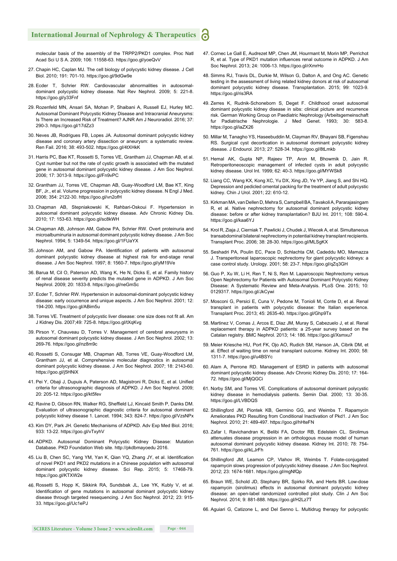#### **International Journal of Nephrology & Therapeutics** ്

molecular basis of the assembly of the TRPP2/PKD1 complex. Proc Natl Acad Sci U S A. 2009; 106: 11558-63. https://goo.gl/yoeQvV

- 27. Chapin HC, Caplan MJ. The cell biology of polycystic kidney disease. J Cell Biol. 2010; 191: 701-10. https://goo.gl/9dGw9e
- 28. Ecder T, Schrier RW. Cardiovascular abnormalities in autosomaldominant polycystic kidney disease. Nat Rev Nephrol. 2009; 5: 221-8. https://goo.gl/y33Fnf
- 29. Rozenfeld MN, Ansari SA, Mohan P, Shaibani A, Russell EJ, Hurley MC. Autosomal Dominant Polycystic Kidney Disease and Intracranial Aneurysms: Is There an Increased Risk of Treatment? AJNR Am J Neuroradiol. 2016; 37: 290-3. https://goo.gl/17dZz3
- 30. Neves JB, Rodrigues FB, Lopes JA. Autosomal dominant polycystic kidney disease and coronary artery dissection or aneurysm: a systematic review. Ren Fail. 2016; 38: 493-502. https://goo.gl/4tXHkK
- 31. Harris PC, Bae KT, Rossetti S, Torres VE, Grantham JJ, Chapman AB, et al. Cyst number but not the rate of cystic growth is associated with the mutated gene in autosomal dominant polycystic kidney disease. J Am Soc Nephrol. 2006; 17: 3013-9. https://goo.gl/Fn9vPC
- 32. Grantham JJ, Torres VE, Chapman AB, Guay-Woodford LM, Bae KT, King BF, Jr., et al. Volume progression in polycystic kidney disease. N Engl J Med. 2006; 354: 2122-30. https://goo.gl/vn2ofH
- 33. Chapman AB, Stepniakowski K, Rahbari-Oskoui F. Hypertension in autosomal dominant polycystic kidney disease. Adv Chronic Kidney Dis. 2010; 17: 153-63. https://goo.gl/sc8kWH
- 34. Chapman AB, Johnson AM, Gabow PA, Schrier RW. Overt proteinuria and microalbuminuria in autosomal dominant polycystic kidney disease. J Am Soc Nephrol. 1994; 5: 1349-54. https://goo.gl/1FUaYX
- 35. Johnson AM, and Gabow PA. Identification of patients with autosomal dominant polycystic kidney disease at highest risk for end-stage renal disease. J Am Soc Nephrol. 1997; 8: 1560-7. https://goo.gl/yM19Ve
- 36. Barua M, Cil O, Paterson AD, Wang K, He N, Dicks E, et al. Family history of renal disease severity predicts the mutated gene in ADPKD. J Am Soc Nephrol. 2009; 20: 1833-8. https://goo.gl/neGmSc
- 37. Ecder T, Schrier RW. Hypertension in autosomal-dominant polycystic kidney disease: early occurrence and unique aspects. J Am Soc Nephrol. 2001; 12: 194-200. https://goo.gl/ABim5u
- 38. Torres VE. Treatment of polycystic liver disease: one size does not fit all. Am J Kidney Dis. 2007;49: 725-8. https://goo.gl/tXqKvg
- 39. Pirson Y, Chauveau D, Torres V. Management of cerebral aneurysms in autosomal dominant polycystic kidney disease. J Am Soc Nephrol. 2002; 13: 269-76. https://goo.gl/nz8m9c
- 40. Rossetti S, Consugar MB, Chapman AB, Torres VE, Guay-Woodford LM, Grantham JJ, et al. Comprehensive molecular diagnostics in autosomal dominant polycystic kidney disease. J Am Soc Nephrol. 2007; 18: 2143-60. https://goo.gl/j5HNiX
- 41. Pei Y, Obaji J, Dupuis A, Paterson AD, Magistroni R, Dicks E, et al. Unified criteria for ultrasonographic diagnosis of ADPKD. J Am Soc Nephrol. 2009; 20: 205-12. https://goo.gl/kt5fev
- 42. Ravine D, Gibson RN, Walker RG, Sheffield LJ, Kincaid Smith P, Danks DM. Evaluation of ultrasonographic diagnostic criteria for autosomal dominant polycystic kidney disease 1. Lancet. 1994; 343: 824-7. https://goo.gl/VzsNPx
- 43. Kim DY, Park JH. Genetic Mechanisms of ADPKD. Adv Exp Med Biol. 2016; 933: 13-22. https://goo.gl/vTxyhV
- 44. ADPKD. Autosomal Dominant Polycystic Kidney Disease: Mutation Database. PKD Foundation Web site. http://pkdbmayoedu 2016.
- 45. Liu B, Chen SC, Yang YM, Yan K, Qian YQ, Zhang JY, et al. Identification of novel PKD1 and PKD2 mutations in a Chinese population with autosomal dominant polycystic kidney disease. Sci Rep. 2015; 5: 17468-79. https://goo.gl/KTXW2e
- 46. Rossetti S, Hopp K, Sikkink RA, Sundsbak JL, Lee YK, Kubly V, et al. Identification of gene mutations in autosomal dominant polycystic kidney disease through targeted resequencing. J Am Soc Nephrol. 2012; 23: 915- 33. https://goo.gl/Uc1ePJ
- 47. Cornec Le Gall E, Audrezet MP, Chen JM, Hourmant M, Morin MP, Perrichot R, et al. Type of PKD1 mutation influences renal outcome in ADPKD. J Am Soc Nephrol. 2013; 24: 1006-13. https://goo.gl/rXmrHo
- 48. Simms RJ, Travis DL, Durkie M, Wilson G, Dalton A, and Ong AC. Genetic testing in the assessment of living related kidney donors at risk of autosomal dominant polycystic kidney disease. Transplantation. 2015; 99: 1023-9. https://goo.gl/ris3RA
- 49. Zerres K, Rudnik-Schoneborn S, Deget F. Childhood onset autosomal dominant polycystic kidney disease in sibs: clinical picture and recurrence risk. German Working Group on Paediatric Nephrology (Arbeitsgemeinschaft fur Padiatrische Nephrologie. J Med Genet. 1993; 30: 583-8. https://goo.gl/iaZX26
- 50. Millar M, Tanagho YS, Haseebuddin M, Clayman RV, Bhayani SB, Figenshau RS. Surgical cyst decortication in autosomal dominant polycystic kidney disease. J Endourol. 2013; 27: 528-34. https://goo.gl/8tLmkb
- 51. Hemal AK, Gupta NP, Rajeev TP, Aron M, Bhowmik D, Jain R. Retroperitoneoscopic management of infected cysts in adult polycystic kidney disease. Urol Int. 1999; 62: 40-3. https://goo.gl/MYWSk8
- 52. Liang CC, Wang KX, Kong XC, Yu DX, Xing JD, Ye YP, Jiang S, and Shi HQ. Depression and pedicled omental packing for the treatment of adult polycystic kidney. Chin J Urol. 2001; 22: 610-12.
- 53. Kirkman MA, van Dellen D, Mehra S, Campbell BA, Tavakoli A, Pararajasingam R, et al. Native nephrectomy for autosomal dominant polycystic kidney disease: before or after kidney transplantation? BJU Int. 2011; 108: 590-4. https://goo.gl/kaa6YJ
- 54. Krol R, Ziaja J, Cierniak T, Pawlicki J, Chudek J, Wiecek A, et al. Simultaneous transabdominal bilateral nephrectomy in potential kidney transplant recipients. Transplant Proc. 2006; 38: 28-30. https://goo.gl/MLSgKX
- 55. Seshadri PA, Poulin EC, Pace D, Schlachta CM, Cadeddu MO, Mamazza J. Transperitoneal laparoscopic nephrectomy for giant polycystic kidneys: a case control study. Urology. 2001; 58: 23-7. https://goo.gl/qZq3GH
- 56. Guo P, Xu W, Li H, Ren T, Ni S, Ren M. Laparoscopic Nephrectomy versus Open Nephrectomy for Patients with Autosomal Dominant Polycystic Kidney Disease: A Systematic Review and Meta-Analysis. PLoS One. 2015; 10: 0129317. https://goo.gl/JkCywi
- 57. Mosconi G, Persici E, Cuna V, Pedone M, Tonioli M, Conte D, et al. Renal transplant in patients with polycystic disease: the Italian experience. Transplant Proc. 2013; 45: 2635-40. https://goo.gl/Ghp9Tx
- 58. Martinez V, Comas J, Arcos E, Diaz JM, Muray S, Cabezuelo J, et al. Renal replacement therapy in ADPKD patients: a 25-year survey based on the Catalan registry. BMC Nephrol. 2013; 14: 186. https://goo.gl/Xsmxu7
- 59. Meier Kriesche HU, Port FK, Ojo AO, Rudich SM, Hanson JA, Cibrik DM, et al. Effect of waiting time on renal transplant outcome. Kidney Int. 2000; 58: 1311-7. https://goo.gl/u4BSYc
- 60. Alam A, Perrone RD. Management of ESRD in patients with autosomal dominant polycystic kidney disease. Adv Chronic Kidney Dis. 2010; 17: 164- 72. https://goo.gl/MjQGCi
- 61. Norby SM, and Torres VE. Complications of autosomal dominant polycystic kidney disease in hemodialysis patients. Semin Dial. 2000; 13: 30-35. https://goo.gl/LVBDQS
- 62. Shillingford JM, Piontek KB, Germino GG, and Weimbs T. Rapamycin Ameliorates PKD Resulting from Conditional Inactivation of Pkd1. J Am Soc Nephrol. 2010; 21: 489-497. https://goo.gl/hHteFN
- 63. Zafar I, Ravichandran K, Belibi FA, Doctor RB, Edelstein CL. Sirolimus attenuates disease progression in an orthologous mouse model of human autosomal dominant polycystic kidney disease. Kidney Int. 2010; 78: 754- 761. https://goo.gl/kLJrFh
- 64. Shillingford JM, Leamon CP, Vlahov IR, Weimbs T. Folate-conjugated rapamycin slows progression of polycystic kidney disease. J Am Soc Nephrol. 2012; 23: 1674-1681. https://goo.gl/mgNfQp
- 65. Braun WE, Schold JD, Stephany BR, Spirko RA, and Herts BR. Low-dose rapamycin (sirolimus) effects in autosomal dominant polycystic kidney disease: an open-label randomized controlled pilot study. Clin J Am Soc Nephrol. 2014; 9: 881-888. https://goo.gl/H2Lz7T
- 66. Aguiari G, Catizone L, and Del Senno L. Multidrug therapy for polycystic